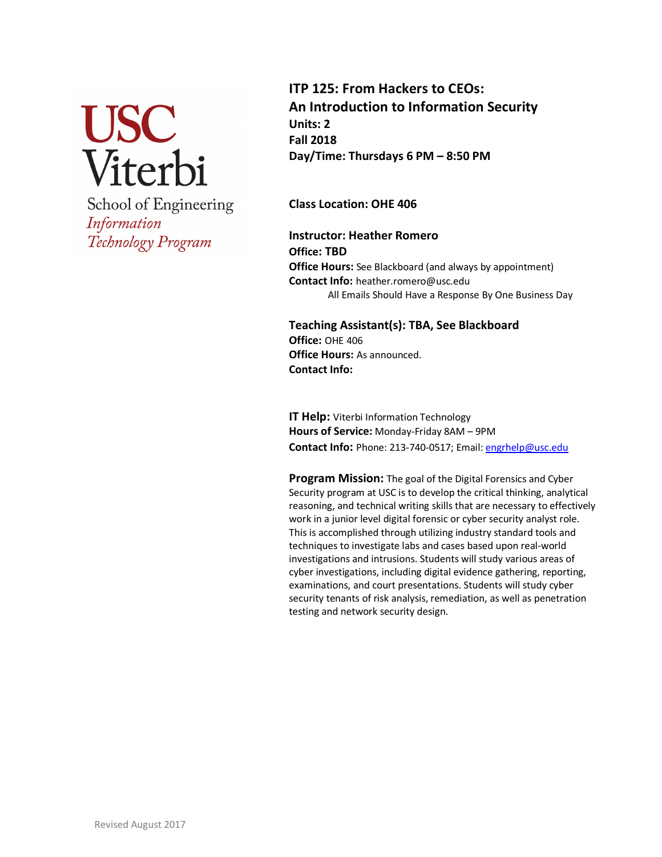

School of Engineering Information Technology Program

**ITP 125: From Hackers to CEOs: An Introduction to Information Security Units: 2 Fall 2018 Day/Time: Thursdays 6 PM – 8:50 PM**

**Class Location: OHE 406**

**Instructor: Heather Romero Office: TBD Office Hours:** See Blackboard (and always by appointment) **Contact Info:** heather.romero@usc.edu All Emails Should Have a Response By One Business Day

**Teaching Assistant(s): TBA, See Blackboard Office:** OHE 406 **Office Hours:** As announced. **Contact Info:**

**IT Help:** Viterbi Information Technology **Hours of Service:** Monday-Friday 8AM – 9PM **Contact Info:** Phone: 213-740-0517; Email: engrhelp@usc.edu

**Program Mission:** The goal of the Digital Forensics and Cyber Security program at USC is to develop the critical thinking, analytical reasoning, and technical writing skills that are necessary to effectively work in a junior level digital forensic or cyber security analyst role. This is accomplished through utilizing industry standard tools and techniques to investigate labs and cases based upon real-world investigations and intrusions. Students will study various areas of cyber investigations, including digital evidence gathering, reporting, examinations, and court presentations. Students will study cyber security tenants of risk analysis, remediation, as well as penetration testing and network security design.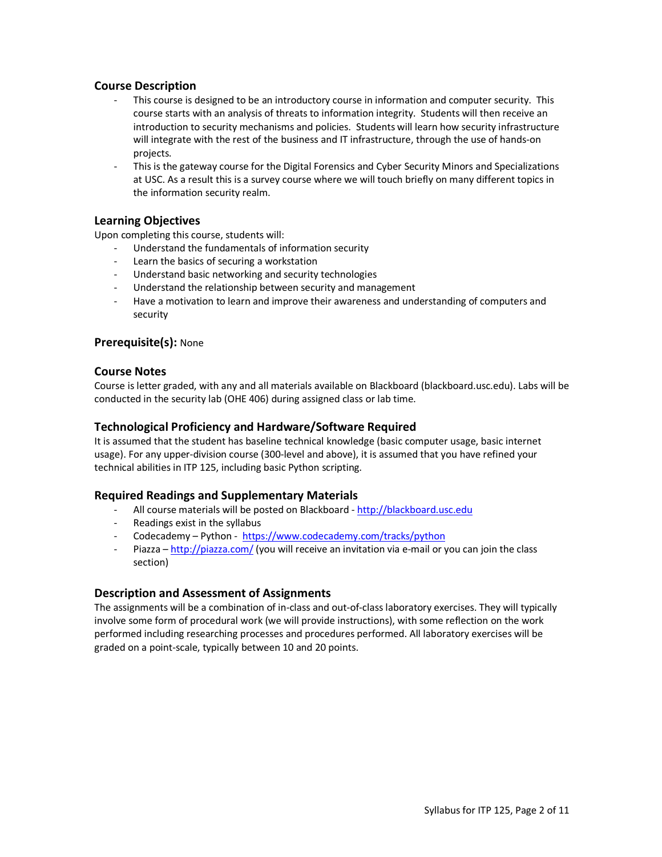## **Course Description**

- This course is designed to be an introductory course in information and computer security. This course starts with an analysis of threats to information integrity. Students will then receive an introduction to security mechanisms and policies. Students will learn how security infrastructure will integrate with the rest of the business and IT infrastructure, through the use of hands-on projects.
- This is the gateway course for the Digital Forensics and Cyber Security Minors and Specializations at USC. As a result this is a survey course where we will touch briefly on many different topics in the information security realm.

## **Learning Objectives**

Upon completing this course, students will:

- Understand the fundamentals of information security
- Learn the basics of securing a workstation
- Understand basic networking and security technologies
- Understand the relationship between security and management
- Have a motivation to learn and improve their awareness and understanding of computers and security

## **Prerequisite(s):** None

## **Course Notes**

Course is letter graded, with any and all materials available on Blackboard (blackboard.usc.edu). Labs will be conducted in the security lab (OHE 406) during assigned class or lab time.

## **Technological Proficiency and Hardware/Software Required**

It is assumed that the student has baseline technical knowledge (basic computer usage, basic internet usage). For any upper-division course (300-level and above), it is assumed that you have refined your technical abilities in ITP 125, including basic Python scripting.

## **Required Readings and Supplementary Materials**

- All course materials will be posted on Blackboard http://blackboard.usc.edu
- Readings exist in the syllabus
- Codecademy Python https://www.codecademy.com/tracks/python
- Piazza http://piazza.com/ (you will receive an invitation via e-mail or you can join the class section)

## **Description and Assessment of Assignments**

The assignments will be a combination of in-class and out-of-class laboratory exercises. They will typically involve some form of procedural work (we will provide instructions), with some reflection on the work performed including researching processes and procedures performed. All laboratory exercises will be graded on a point-scale, typically between 10 and 20 points.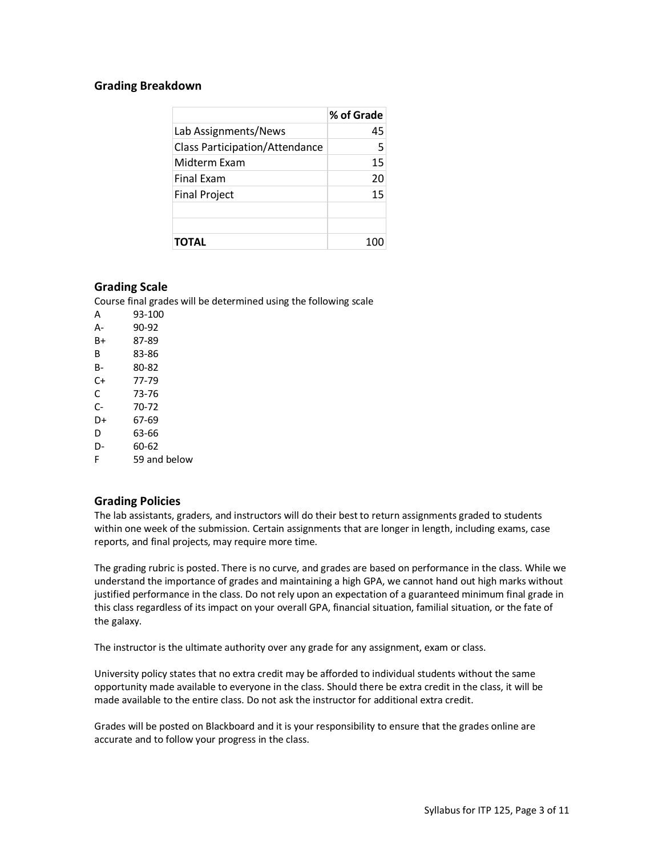## **Grading Breakdown**

|                                       | % of Grade |
|---------------------------------------|------------|
| Lab Assignments/News                  | 45         |
| <b>Class Participation/Attendance</b> | 5          |
| Midterm Exam                          | 15         |
| <b>Final Exam</b>                     | 20         |
| <b>Final Project</b>                  | 15         |
|                                       |            |
|                                       |            |
| TOTAL                                 |            |

## **Grading Scale**

Course final grades will be determined using the following scale

| А  | 93-100       |
|----|--------------|
| А- | 90-92        |
| B+ | 87-89        |
| B  | 83-86        |
| B- | 80-82        |
| C+ | 77-79        |
| C  | 73-76        |
| C- | 70-72        |
| D+ | 67-69        |
| D  | 63-66        |
| D- | 60-62        |
| F  | 59 and below |
|    |              |

## **Grading Policies**

The lab assistants, graders, and instructors will do their best to return assignments graded to students within one week of the submission. Certain assignments that are longer in length, including exams, case reports, and final projects, may require more time.

The grading rubric is posted. There is no curve, and grades are based on performance in the class. While we understand the importance of grades and maintaining a high GPA, we cannot hand out high marks without justified performance in the class. Do not rely upon an expectation of a guaranteed minimum final grade in this class regardless of its impact on your overall GPA, financial situation, familial situation, or the fate of the galaxy.

The instructor is the ultimate authority over any grade for any assignment, exam or class.

University policy states that no extra credit may be afforded to individual students without the same opportunity made available to everyone in the class. Should there be extra credit in the class, it will be made available to the entire class. Do not ask the instructor for additional extra credit.

Grades will be posted on Blackboard and it is your responsibility to ensure that the grades online are accurate and to follow your progress in the class.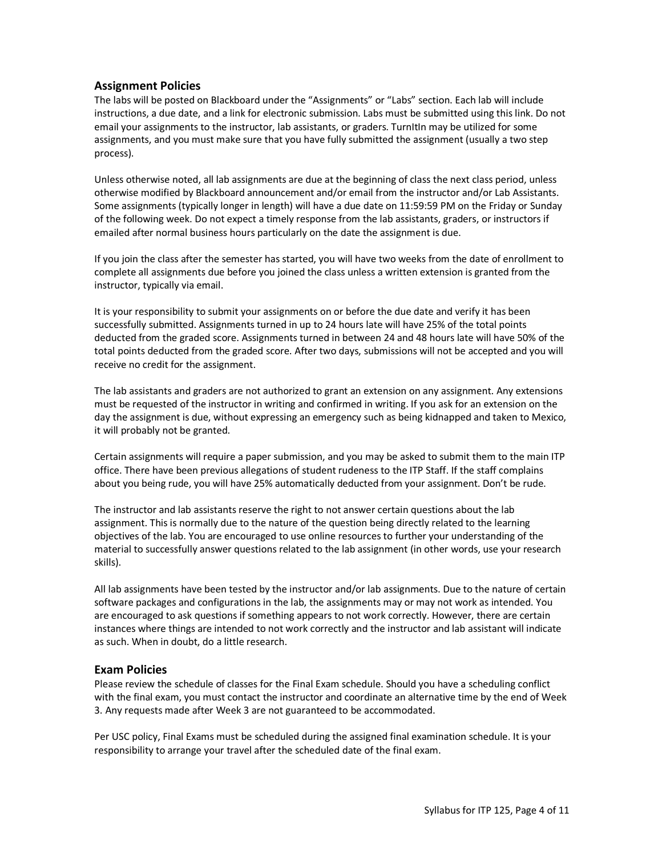## **Assignment Policies**

The labs will be posted on Blackboard under the "Assignments" or "Labs" section. Each lab will include instructions, a due date, and a link for electronic submission. Labs must be submitted using this link. Do not email your assignments to the instructor, lab assistants, or graders. TurnItIn may be utilized for some assignments, and you must make sure that you have fully submitted the assignment (usually a two step process).

Unless otherwise noted, all lab assignments are due at the beginning of class the next class period, unless otherwise modified by Blackboard announcement and/or email from the instructor and/or Lab Assistants. Some assignments (typically longer in length) will have a due date on 11:59:59 PM on the Friday or Sunday of the following week. Do not expect a timely response from the lab assistants, graders, or instructors if emailed after normal business hours particularly on the date the assignment is due.

If you join the class after the semester has started, you will have two weeks from the date of enrollment to complete all assignments due before you joined the class unless a written extension is granted from the instructor, typically via email.

It is your responsibility to submit your assignments on or before the due date and verify it has been successfully submitted. Assignments turned in up to 24 hours late will have 25% of the total points deducted from the graded score. Assignments turned in between 24 and 48 hours late will have 50% of the total points deducted from the graded score. After two days, submissions will not be accepted and you will receive no credit for the assignment.

The lab assistants and graders are not authorized to grant an extension on any assignment. Any extensions must be requested of the instructor in writing and confirmed in writing. If you ask for an extension on the day the assignment is due, without expressing an emergency such as being kidnapped and taken to Mexico, it will probably not be granted.

Certain assignments will require a paper submission, and you may be asked to submit them to the main ITP office. There have been previous allegations of student rudeness to the ITP Staff. If the staff complains about you being rude, you will have 25% automatically deducted from your assignment. Don't be rude.

The instructor and lab assistants reserve the right to not answer certain questions about the lab assignment. This is normally due to the nature of the question being directly related to the learning objectives of the lab. You are encouraged to use online resources to further your understanding of the material to successfully answer questions related to the lab assignment (in other words, use your research skills).

All lab assignments have been tested by the instructor and/or lab assignments. Due to the nature of certain software packages and configurations in the lab, the assignments may or may not work as intended. You are encouraged to ask questions if something appears to not work correctly. However, there are certain instances where things are intended to not work correctly and the instructor and lab assistant will indicate as such. When in doubt, do a little research.

## **Exam Policies**

Please review the schedule of classes for the Final Exam schedule. Should you have a scheduling conflict with the final exam, you must contact the instructor and coordinate an alternative time by the end of Week 3. Any requests made after Week 3 are not guaranteed to be accommodated.

Per USC policy, Final Exams must be scheduled during the assigned final examination schedule. It is your responsibility to arrange your travel after the scheduled date of the final exam.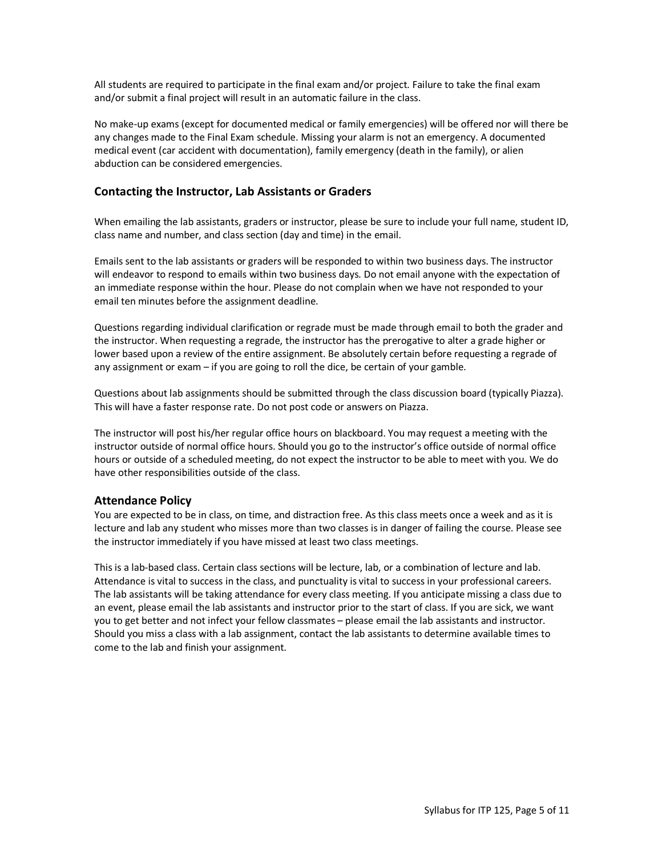All students are required to participate in the final exam and/or project. Failure to take the final exam and/or submit a final project will result in an automatic failure in the class.

No make-up exams (except for documented medical or family emergencies) will be offered nor will there be any changes made to the Final Exam schedule. Missing your alarm is not an emergency. A documented medical event (car accident with documentation), family emergency (death in the family), or alien abduction can be considered emergencies.

## **Contacting the Instructor, Lab Assistants or Graders**

When emailing the lab assistants, graders or instructor, please be sure to include your full name, student ID, class name and number, and class section (day and time) in the email.

Emails sent to the lab assistants or graders will be responded to within two business days. The instructor will endeavor to respond to emails within two business days. Do not email anyone with the expectation of an immediate response within the hour. Please do not complain when we have not responded to your email ten minutes before the assignment deadline.

Questions regarding individual clarification or regrade must be made through email to both the grader and the instructor. When requesting a regrade, the instructor has the prerogative to alter a grade higher or lower based upon a review of the entire assignment. Be absolutely certain before requesting a regrade of any assignment or exam – if you are going to roll the dice, be certain of your gamble.

Questions about lab assignments should be submitted through the class discussion board (typically Piazza). This will have a faster response rate. Do not post code or answers on Piazza.

The instructor will post his/her regular office hours on blackboard. You may request a meeting with the instructor outside of normal office hours. Should you go to the instructor's office outside of normal office hours or outside of a scheduled meeting, do not expect the instructor to be able to meet with you. We do have other responsibilities outside of the class.

## **Attendance Policy**

You are expected to be in class, on time, and distraction free. As this class meets once a week and as it is lecture and lab any student who misses more than two classes is in danger of failing the course. Please see the instructor immediately if you have missed at least two class meetings.

This is a lab-based class. Certain class sections will be lecture, lab, or a combination of lecture and lab. Attendance is vital to success in the class, and punctuality is vital to success in your professional careers. The lab assistants will be taking attendance for every class meeting. If you anticipate missing a class due to an event, please email the lab assistants and instructor prior to the start of class. If you are sick, we want you to get better and not infect your fellow classmates – please email the lab assistants and instructor. Should you miss a class with a lab assignment, contact the lab assistants to determine available times to come to the lab and finish your assignment.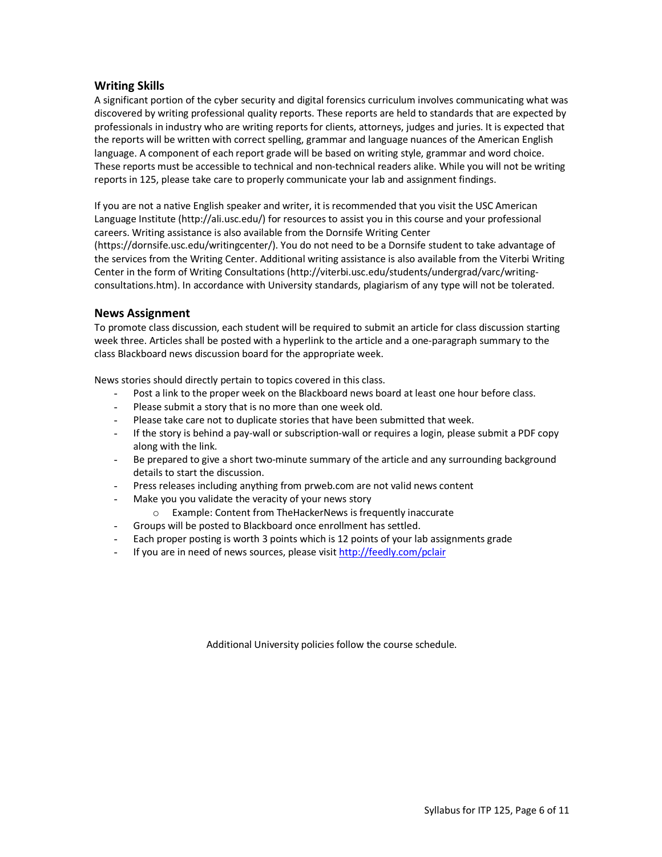## **Writing Skills**

A significant portion of the cyber security and digital forensics curriculum involves communicating what was discovered by writing professional quality reports. These reports are held to standards that are expected by professionals in industry who are writing reports for clients, attorneys, judges and juries. It is expected that the reports will be written with correct spelling, grammar and language nuances of the American English language. A component of each report grade will be based on writing style, grammar and word choice. These reports must be accessible to technical and non-technical readers alike. While you will not be writing reports in 125, please take care to properly communicate your lab and assignment findings.

If you are not a native English speaker and writer, it is recommended that you visit the USC American Language Institute (http://ali.usc.edu/) for resources to assist you in this course and your professional careers. Writing assistance is also available from the Dornsife Writing Center (https://dornsife.usc.edu/writingcenter/). You do not need to be a Dornsife student to take advantage of the services from the Writing Center. Additional writing assistance is also available from the Viterbi Writing Center in the form of Writing Consultations (http://viterbi.usc.edu/students/undergrad/varc/writingconsultations.htm). In accordance with University standards, plagiarism of any type will not be tolerated.

## **News Assignment**

To promote class discussion, each student will be required to submit an article for class discussion starting week three. Articles shall be posted with a hyperlink to the article and a one-paragraph summary to the class Blackboard news discussion board for the appropriate week.

News stories should directly pertain to topics covered in this class.

- Post a link to the proper week on the Blackboard news board at least one hour before class.
- Please submit a story that is no more than one week old.
- Please take care not to duplicate stories that have been submitted that week.
- If the story is behind a pay-wall or subscription-wall or requires a login, please submit a PDF copy along with the link.
- Be prepared to give a short two-minute summary of the article and any surrounding background details to start the discussion.
- Press releases including anything from prweb.com are not valid news content
- Make you you validate the veracity of your news story
	- o Example: Content from TheHackerNews is frequently inaccurate
- Groups will be posted to Blackboard once enrollment has settled.
- Each proper posting is worth 3 points which is 12 points of your lab assignments grade
- If you are in need of news sources, please visit http://feedly.com/pclair

Additional University policies follow the course schedule.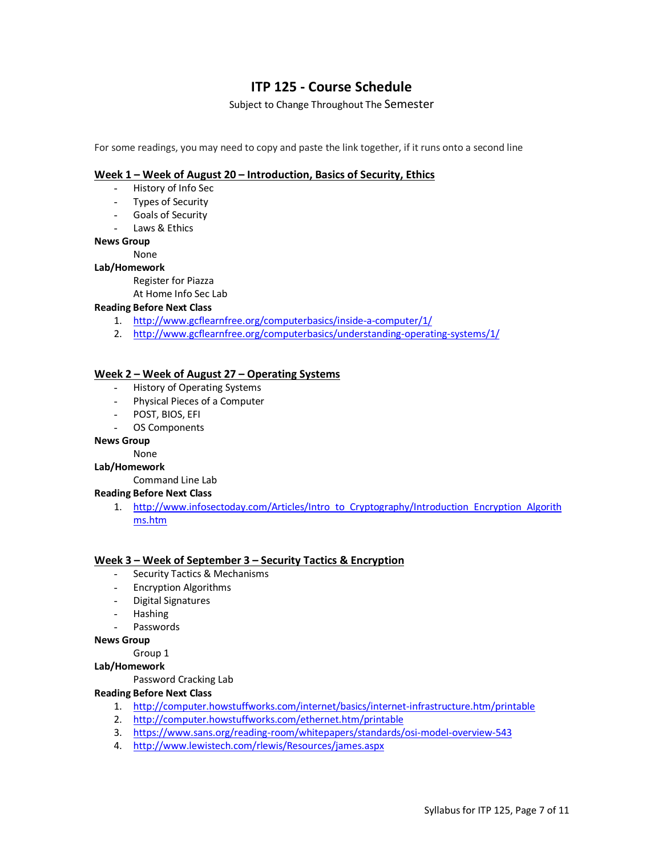## **ITP 125 - Course Schedule**

Subject to Change Throughout The Semester

For some readings, you may need to copy and paste the link together, if it runs onto a second line

## **Week 1 – Week of August 20 – Introduction, Basics of Security, Ethics**

- History of Info Sec
- Types of Security
- Goals of Security
- Laws & Ethics

## **News Group**

None

## **Lab/Homework**

Register for Piazza

At Home Info Sec Lab

## **Reading Before Next Class**

- 1. http://www.gcflearnfree.org/computerbasics/inside-a-computer/1/
- 2. http://www.gcflearnfree.org/computerbasics/understanding-operating-systems/1/

## **Week 2 – Week of August 27 – Operating Systems**

- History of Operating Systems
- Physical Pieces of a Computer
- POST, BIOS, EFI
- OS Components

#### **News Group**

None

#### **Lab/Homework**

## Command Line Lab

## **Reading Before Next Class**

1. http://www.infosectoday.com/Articles/Intro\_to\_Cryptography/Introduction\_Encryption\_Algorith ms.htm

## **Week 3 – Week of September 3 – Security Tactics & Encryption**

- Security Tactics & Mechanisms
- Encryption Algorithms
- Digital Signatures
- Hashing
- **Passwords**

**News Group**

Group 1

## **Lab/Homework**

Password Cracking Lab

## **Reading Before Next Class**

- 1. http://computer.howstuffworks.com/internet/basics/internet-infrastructure.htm/printable
- 2. http://computer.howstuffworks.com/ethernet.htm/printable
- 3. https://www.sans.org/reading-room/whitepapers/standards/osi-model-overview-543
- 4. http://www.lewistech.com/rlewis/Resources/james.aspx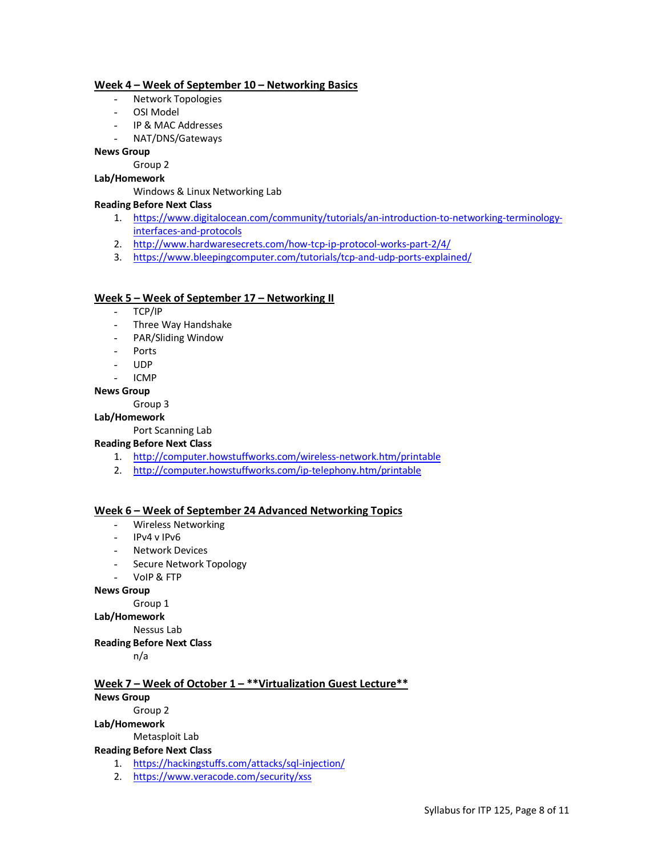## **Week 4 – Week of September 10 – Networking Basics**

- Network Topologies
- OSI Model
- IP & MAC Addresses
- NAT/DNS/Gateways

## **News Group**

Group 2

## **Lab/Homework**

Windows & Linux Networking Lab

## **Reading Before Next Class**

- 1. https://www.digitalocean.com/community/tutorials/an-introduction-to-networking-terminologyinterfaces-and-protocols
- 2. http://www.hardwaresecrets.com/how-tcp-ip-protocol-works-part-2/4/
- 3. https://www.bleepingcomputer.com/tutorials/tcp-and-udp-ports-explained/

## **Week 5 – Week of September 17 – Networking II**

- TCP/IP
- Three Way Handshake
- PAR/Sliding Window
- Ports
- UDP
- ICMP
- **News Group**

Group 3

## **Lab/Homework**

Port Scanning Lab

## **Reading Before Next Class**

- 1. http://computer.howstuffworks.com/wireless-network.htm/printable
- 2. http://computer.howstuffworks.com/ip-telephony.htm/printable

## **Week 6 – Week of September 24 Advanced Networking Topics**

- Wireless Networking
- IPv4 v IPv6
- Network Devices
- Secure Network Topology
- VoIP & FTP

#### **News Group**

Group 1

#### **Lab/Homework**

Nessus Lab

## **Reading Before Next Class**

n/a

## **Week 7 – Week of October 1 – \*\*Virtualization Guest Lecture\*\***

## **News Group**

## Group 2

## **Lab/Homework**

Metasploit Lab

#### **Reading Before Next Class**

- 1. https://hackingstuffs.com/attacks/sql-injection/
- 2. https://www.veracode.com/security/xss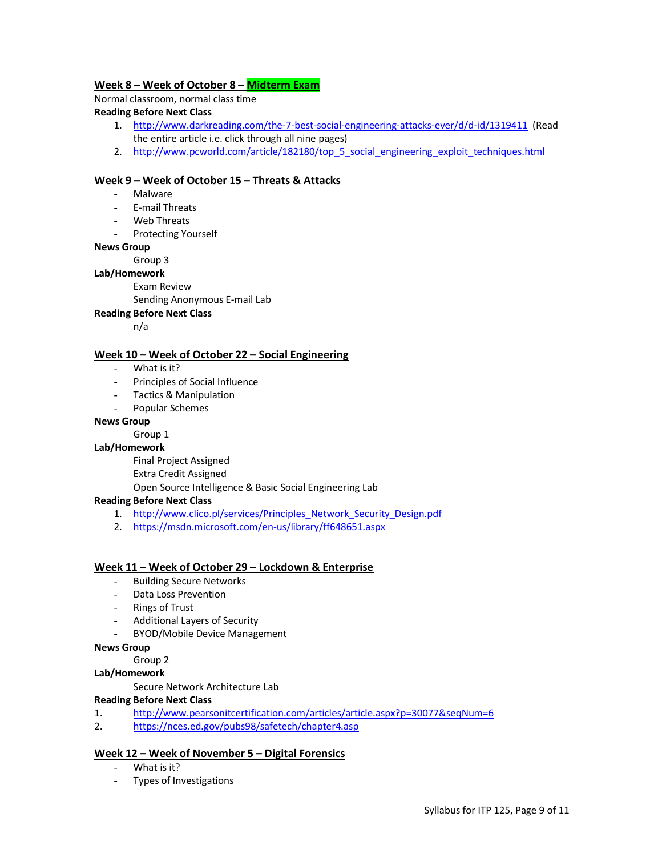## **Week 8 – Week of October 8 – Midterm Exam**

Normal classroom, normal class time

## **Reading Before Next Class**

- 1. http://www.darkreading.com/the-7-best-social-engineering-attacks-ever/d/d-id/1319411 (Read the entire article i.e. click through all nine pages)
- 2. http://www.pcworld.com/article/182180/top\_5\_social\_engineering\_exploit\_techniques.html

## **Week 9 – Week of October 15 – Threats & Attacks**

- **Malware**
- E-mail Threats
- Web Threats
- Protecting Yourself

## **News Group**

Group 3

## **Lab/Homework**

Exam Review

Sending Anonymous E-mail Lab

## **Reading Before Next Class**

n/a

## **Week 10 – Week of October 22 – Social Engineering**

- What is it?
- Principles of Social Influence
- Tactics & Manipulation
- Popular Schemes

## **News Group**

Group 1

## **Lab/Homework**

Final Project Assigned

Extra Credit Assigned

Open Source Intelligence & Basic Social Engineering Lab

## **Reading Before Next Class**

- 1. http://www.clico.pl/services/Principles\_Network\_Security\_Design.pdf
- 2. https://msdn.microsoft.com/en-us/library/ff648651.aspx

## **Week 11 – Week of October 29 – Lockdown & Enterprise**

- Building Secure Networks
- Data Loss Prevention
- Rings of Trust
- Additional Layers of Security
- BYOD/Mobile Device Management

## **News Group**

Group 2

## **Lab/Homework**

Secure Network Architecture Lab

## **Reading Before Next Class**

- 1. http://www.pearsonitcertification.com/articles/article.aspx?p=30077&seqNum=6
- 2. https://nces.ed.gov/pubs98/safetech/chapter4.asp

## **Week 12 – Week of November 5 – Digital Forensics**

- What is it?
- Types of Investigations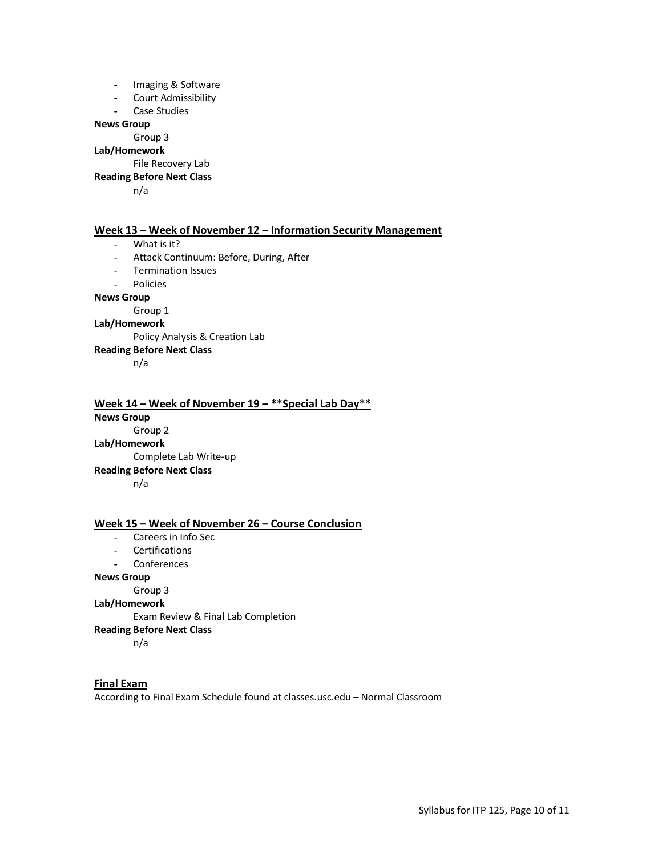- Imaging & Software
- Court Admissibility
- Case Studies

#### **News Group**

Group 3

## **Lab/Homework**

File Recovery Lab

**Reading Before Next Class**

n/a

#### **Week 13 – Week of November 12 – Information Security Management**

- What is it?
- Attack Continuum: Before, During, After
- Termination Issues

- Policies

#### **News Group**

Group 1

## **Lab/Homework**

Policy Analysis & Creation Lab

#### **Reading Before Next Class**

n/a

## **Week 14 – Week of November 19 – \*\*Special Lab Day\*\* News Group** Group 2 **Lab/Homework** Complete Lab Write-up **Reading Before Next Class** n/a

## **Week 15 – Week of November 26 – Course Conclusion**

- Careers in Info Sec
- Certifications
- **Conferences**

#### **News Group**

Group 3

**Lab/Homework**

Exam Review & Final Lab Completion

#### **Reading Before Next Class**

n/a

# **Final Exam**

According to Final Exam Schedule found at classes.usc.edu – Normal Classroom